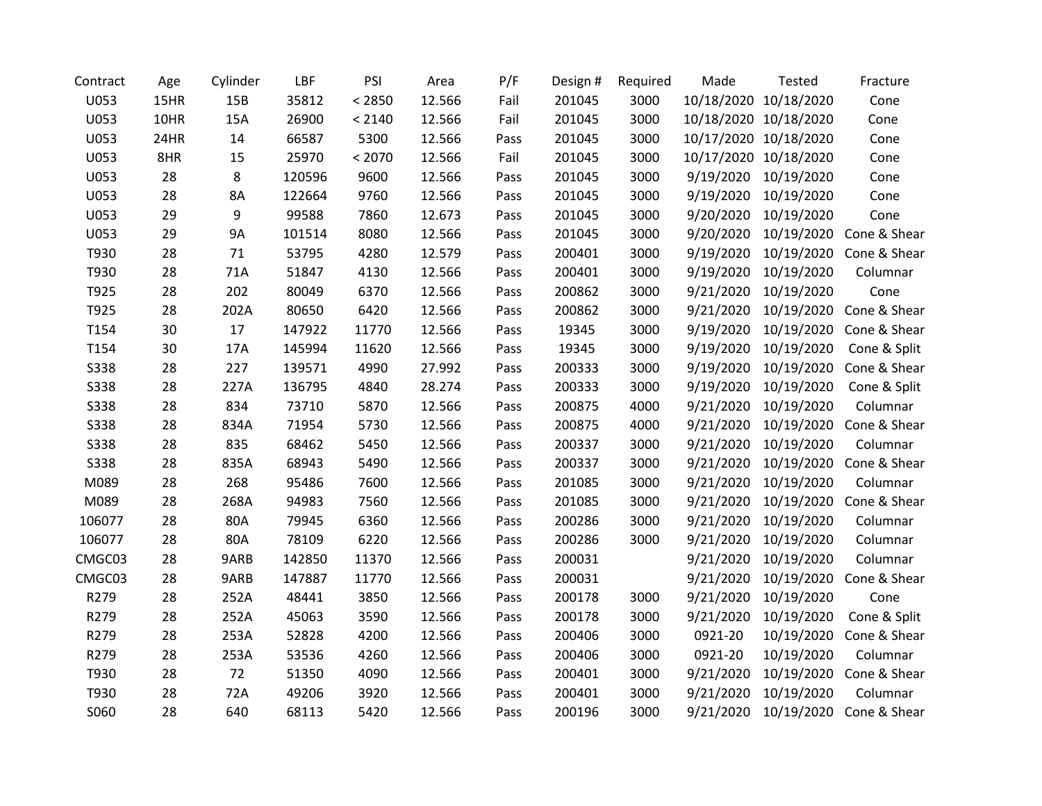| Contract    | Age  | Cylinder | LBF    | PSI    | Area   | P/F  | Design # | Required | Made      | Tested                | Fracture                |
|-------------|------|----------|--------|--------|--------|------|----------|----------|-----------|-----------------------|-------------------------|
| U053        | 15HR | 15B      | 35812  | < 2850 | 12.566 | Fail | 201045   | 3000     |           | 10/18/2020 10/18/2020 | Cone                    |
| U053        | 10HR | 15A      | 26900  | < 2140 | 12.566 | Fail | 201045   | 3000     |           | 10/18/2020 10/18/2020 | Cone                    |
| U053        | 24HR | 14       | 66587  | 5300   | 12.566 | Pass | 201045   | 3000     |           | 10/17/2020 10/18/2020 | Cone                    |
| U053        | 8HR  | 15       | 25970  | < 2070 | 12.566 | Fail | 201045   | 3000     |           | 10/17/2020 10/18/2020 | Cone                    |
| U053        | 28   | 8        | 120596 | 9600   | 12.566 | Pass | 201045   | 3000     | 9/19/2020 | 10/19/2020            | Cone                    |
| U053        | 28   | 8A       | 122664 | 9760   | 12.566 | Pass | 201045   | 3000     | 9/19/2020 | 10/19/2020            | Cone                    |
| U053        | 29   | 9        | 99588  | 7860   | 12.673 | Pass | 201045   | 3000     | 9/20/2020 | 10/19/2020            | Cone                    |
| U053        | 29   | 9A       | 101514 | 8080   | 12.566 | Pass | 201045   | 3000     | 9/20/2020 | 10/19/2020            | Cone & Shear            |
| T930        | 28   | 71       | 53795  | 4280   | 12.579 | Pass | 200401   | 3000     | 9/19/2020 | 10/19/2020            | Cone & Shear            |
| T930        | 28   | 71A      | 51847  | 4130   | 12.566 | Pass | 200401   | 3000     | 9/19/2020 | 10/19/2020            | Columnar                |
| T925        | 28   | 202      | 80049  | 6370   | 12.566 | Pass | 200862   | 3000     | 9/21/2020 | 10/19/2020            | Cone                    |
| T925        | 28   | 202A     | 80650  | 6420   | 12.566 | Pass | 200862   | 3000     | 9/21/2020 | 10/19/2020            | Cone & Shear            |
| T154        | 30   | 17       | 147922 | 11770  | 12.566 | Pass | 19345    | 3000     | 9/19/2020 | 10/19/2020            | Cone & Shear            |
| T154        | 30   | 17A      | 145994 | 11620  | 12.566 | Pass | 19345    | 3000     | 9/19/2020 | 10/19/2020            | Cone & Split            |
| <b>S338</b> | 28   | 227      | 139571 | 4990   | 27.992 | Pass | 200333   | 3000     | 9/19/2020 | 10/19/2020            | Cone & Shear            |
| S338        | 28   | 227A     | 136795 | 4840   | 28.274 | Pass | 200333   | 3000     | 9/19/2020 | 10/19/2020            | Cone & Split            |
| S338        | 28   | 834      | 73710  | 5870   | 12.566 | Pass | 200875   | 4000     | 9/21/2020 | 10/19/2020            | Columnar                |
| <b>S338</b> | 28   | 834A     | 71954  | 5730   | 12.566 | Pass | 200875   | 4000     | 9/21/2020 | 10/19/2020            | Cone & Shear            |
| <b>S338</b> | 28   | 835      | 68462  | 5450   | 12.566 | Pass | 200337   | 3000     | 9/21/2020 | 10/19/2020            | Columnar                |
| S338        | 28   | 835A     | 68943  | 5490   | 12.566 | Pass | 200337   | 3000     | 9/21/2020 | 10/19/2020            | Cone & Shear            |
| M089        | 28   | 268      | 95486  | 7600   | 12.566 | Pass | 201085   | 3000     | 9/21/2020 | 10/19/2020            | Columnar                |
| M089        | 28   | 268A     | 94983  | 7560   | 12.566 | Pass | 201085   | 3000     | 9/21/2020 | 10/19/2020            | Cone & Shear            |
| 106077      | 28   | 80A      | 79945  | 6360   | 12.566 | Pass | 200286   | 3000     | 9/21/2020 | 10/19/2020            | Columnar                |
| 106077      | 28   | 80A      | 78109  | 6220   | 12.566 | Pass | 200286   | 3000     | 9/21/2020 | 10/19/2020            | Columnar                |
| CMGC03      | 28   | 9ARB     | 142850 | 11370  | 12.566 | Pass | 200031   |          | 9/21/2020 | 10/19/2020            | Columnar                |
| CMGC03      | 28   | 9ARB     | 147887 | 11770  | 12.566 | Pass | 200031   |          | 9/21/2020 | 10/19/2020            | Cone & Shear            |
| R279        | 28   | 252A     | 48441  | 3850   | 12.566 | Pass | 200178   | 3000     | 9/21/2020 | 10/19/2020            | Cone                    |
| R279        | 28   | 252A     | 45063  | 3590   | 12.566 | Pass | 200178   | 3000     | 9/21/2020 | 10/19/2020            | Cone & Split            |
| R279        | 28   | 253A     | 52828  | 4200   | 12.566 | Pass | 200406   | 3000     | 0921-20   | 10/19/2020            | Cone & Shear            |
| R279        | 28   | 253A     | 53536  | 4260   | 12.566 | Pass | 200406   | 3000     | 0921-20   | 10/19/2020            | Columnar                |
| T930        | 28   | 72       | 51350  | 4090   | 12.566 | Pass | 200401   | 3000     | 9/21/2020 | 10/19/2020            | Cone & Shear            |
| T930        | 28   | 72A      | 49206  | 3920   | 12.566 | Pass | 200401   | 3000     | 9/21/2020 | 10/19/2020            | Columnar                |
| S060        | 28   | 640      | 68113  | 5420   | 12.566 | Pass | 200196   | 3000     | 9/21/2020 |                       | 10/19/2020 Cone & Shear |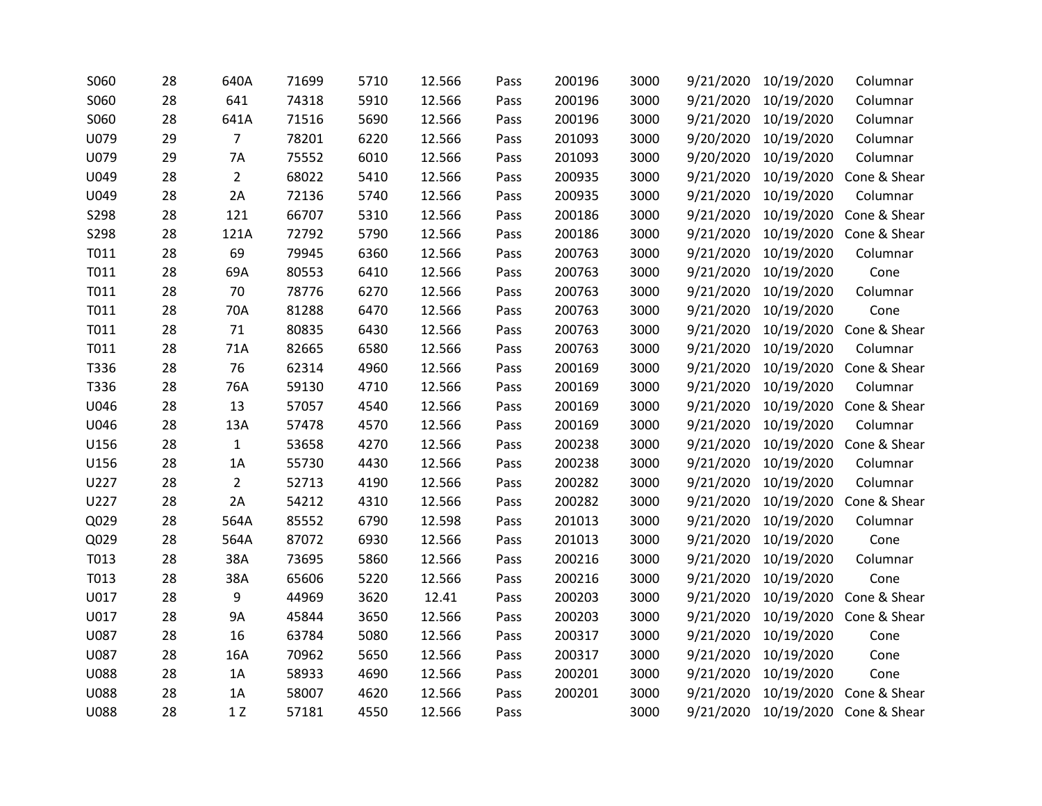| S060        | 28 | 640A           | 71699 | 5710 | 12.566 | Pass | 200196 | 3000 | 9/21/2020 | 10/19/2020 | Columnar                |
|-------------|----|----------------|-------|------|--------|------|--------|------|-----------|------------|-------------------------|
| S060        | 28 | 641            | 74318 | 5910 | 12.566 | Pass | 200196 | 3000 | 9/21/2020 | 10/19/2020 | Columnar                |
| S060        | 28 | 641A           | 71516 | 5690 | 12.566 | Pass | 200196 | 3000 | 9/21/2020 | 10/19/2020 | Columnar                |
| U079        | 29 | $\overline{7}$ | 78201 | 6220 | 12.566 | Pass | 201093 | 3000 | 9/20/2020 | 10/19/2020 | Columnar                |
| U079        | 29 | 7A             | 75552 | 6010 | 12.566 | Pass | 201093 | 3000 | 9/20/2020 | 10/19/2020 | Columnar                |
| U049        | 28 | $\overline{2}$ | 68022 | 5410 | 12.566 | Pass | 200935 | 3000 | 9/21/2020 | 10/19/2020 | Cone & Shear            |
| U049        | 28 | 2A             | 72136 | 5740 | 12.566 | Pass | 200935 | 3000 | 9/21/2020 | 10/19/2020 | Columnar                |
| S298        | 28 | 121            | 66707 | 5310 | 12.566 | Pass | 200186 | 3000 | 9/21/2020 | 10/19/2020 | Cone & Shear            |
| S298        | 28 | 121A           | 72792 | 5790 | 12.566 | Pass | 200186 | 3000 | 9/21/2020 | 10/19/2020 | Cone & Shear            |
| T011        | 28 | 69             | 79945 | 6360 | 12.566 | Pass | 200763 | 3000 | 9/21/2020 | 10/19/2020 | Columnar                |
| T011        | 28 | 69A            | 80553 | 6410 | 12.566 | Pass | 200763 | 3000 | 9/21/2020 | 10/19/2020 | Cone                    |
| T011        | 28 | 70             | 78776 | 6270 | 12.566 | Pass | 200763 | 3000 | 9/21/2020 | 10/19/2020 | Columnar                |
| T011        | 28 | 70A            | 81288 | 6470 | 12.566 | Pass | 200763 | 3000 | 9/21/2020 | 10/19/2020 | Cone                    |
| T011        | 28 | 71             | 80835 | 6430 | 12.566 | Pass | 200763 | 3000 | 9/21/2020 | 10/19/2020 | Cone & Shear            |
| T011        | 28 | 71A            | 82665 | 6580 | 12.566 | Pass | 200763 | 3000 | 9/21/2020 | 10/19/2020 | Columnar                |
| T336        | 28 | 76             | 62314 | 4960 | 12.566 | Pass | 200169 | 3000 | 9/21/2020 | 10/19/2020 | Cone & Shear            |
| T336        | 28 | 76A            | 59130 | 4710 | 12.566 | Pass | 200169 | 3000 | 9/21/2020 | 10/19/2020 | Columnar                |
| U046        | 28 | 13             | 57057 | 4540 | 12.566 | Pass | 200169 | 3000 | 9/21/2020 | 10/19/2020 | Cone & Shear            |
| U046        | 28 | 13A            | 57478 | 4570 | 12.566 | Pass | 200169 | 3000 | 9/21/2020 | 10/19/2020 | Columnar                |
| U156        | 28 | $\mathbf{1}$   | 53658 | 4270 | 12.566 | Pass | 200238 | 3000 | 9/21/2020 | 10/19/2020 | Cone & Shear            |
| U156        | 28 | 1A             | 55730 | 4430 | 12.566 | Pass | 200238 | 3000 | 9/21/2020 | 10/19/2020 | Columnar                |
| U227        | 28 | $\overline{2}$ | 52713 | 4190 | 12.566 | Pass | 200282 | 3000 | 9/21/2020 | 10/19/2020 | Columnar                |
| U227        | 28 | 2A             | 54212 | 4310 | 12.566 | Pass | 200282 | 3000 | 9/21/2020 | 10/19/2020 | Cone & Shear            |
| Q029        | 28 | 564A           | 85552 | 6790 | 12.598 | Pass | 201013 | 3000 | 9/21/2020 | 10/19/2020 | Columnar                |
| Q029        | 28 | 564A           | 87072 | 6930 | 12.566 | Pass | 201013 | 3000 | 9/21/2020 | 10/19/2020 | Cone                    |
| T013        | 28 | 38A            | 73695 | 5860 | 12.566 | Pass | 200216 | 3000 | 9/21/2020 | 10/19/2020 | Columnar                |
| T013        | 28 | 38A            | 65606 | 5220 | 12.566 | Pass | 200216 | 3000 | 9/21/2020 | 10/19/2020 | Cone                    |
| U017        | 28 | 9              | 44969 | 3620 | 12.41  | Pass | 200203 | 3000 | 9/21/2020 | 10/19/2020 | Cone & Shear            |
| U017        | 28 | <b>9A</b>      | 45844 | 3650 | 12.566 | Pass | 200203 | 3000 | 9/21/2020 |            | 10/19/2020 Cone & Shear |
| U087        | 28 | 16             | 63784 | 5080 | 12.566 | Pass | 200317 | 3000 | 9/21/2020 | 10/19/2020 | Cone                    |
| U087        | 28 | 16A            | 70962 | 5650 | 12.566 | Pass | 200317 | 3000 | 9/21/2020 | 10/19/2020 | Cone                    |
| <b>U088</b> | 28 | 1A             | 58933 | 4690 | 12.566 | Pass | 200201 | 3000 | 9/21/2020 | 10/19/2020 | Cone                    |
| <b>U088</b> | 28 | 1A             | 58007 | 4620 | 12.566 | Pass | 200201 | 3000 | 9/21/2020 | 10/19/2020 | Cone & Shear            |
| <b>U088</b> | 28 | 1Z             | 57181 | 4550 | 12.566 | Pass |        | 3000 | 9/21/2020 |            | 10/19/2020 Cone & Shear |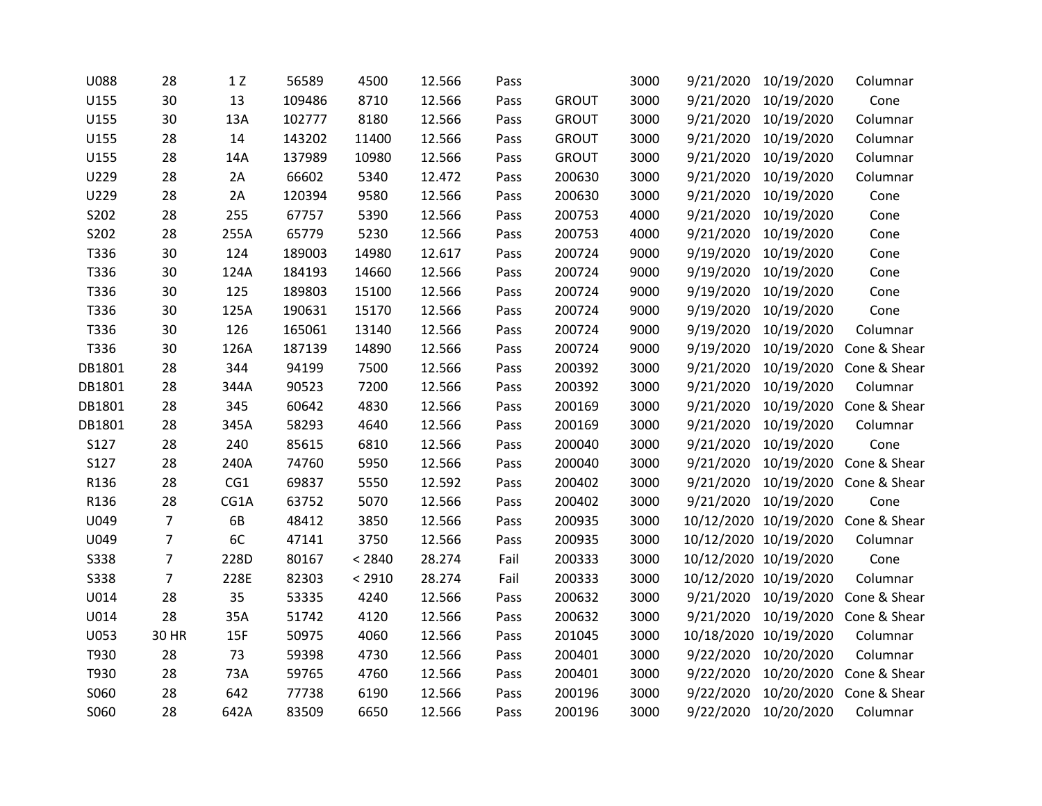| <b>U088</b> | 28             | $1 Z$ | 56589  | 4500   | 12.566 | Pass |              | 3000 | 9/21/2020 | 10/19/2020            | Columnar                           |
|-------------|----------------|-------|--------|--------|--------|------|--------------|------|-----------|-----------------------|------------------------------------|
| U155        | 30             | 13    | 109486 | 8710   | 12.566 | Pass | <b>GROUT</b> | 3000 | 9/21/2020 | 10/19/2020            | Cone                               |
| U155        | 30             | 13A   | 102777 | 8180   | 12.566 | Pass | <b>GROUT</b> | 3000 | 9/21/2020 | 10/19/2020            | Columnar                           |
| U155        | 28             | 14    | 143202 | 11400  | 12.566 | Pass | <b>GROUT</b> | 3000 |           | 9/21/2020 10/19/2020  | Columnar                           |
| U155        | 28             | 14A   | 137989 | 10980  | 12.566 | Pass | <b>GROUT</b> | 3000 |           | 9/21/2020 10/19/2020  | Columnar                           |
| U229        | 28             | 2A    | 66602  | 5340   | 12.472 | Pass | 200630       | 3000 |           | 9/21/2020 10/19/2020  | Columnar                           |
| U229        | 28             | 2A    | 120394 | 9580   | 12.566 | Pass | 200630       | 3000 | 9/21/2020 | 10/19/2020            | Cone                               |
| S202        | 28             | 255   | 67757  | 5390   | 12.566 | Pass | 200753       | 4000 | 9/21/2020 | 10/19/2020            | Cone                               |
| S202        | 28             | 255A  | 65779  | 5230   | 12.566 | Pass | 200753       | 4000 | 9/21/2020 | 10/19/2020            | Cone                               |
| T336        | 30             | 124   | 189003 | 14980  | 12.617 | Pass | 200724       | 9000 |           | 9/19/2020 10/19/2020  | Cone                               |
| T336        | 30             | 124A  | 184193 | 14660  | 12.566 | Pass | 200724       | 9000 |           | 9/19/2020 10/19/2020  | Cone                               |
| T336        | 30             | 125   | 189803 | 15100  | 12.566 | Pass | 200724       | 9000 | 9/19/2020 | 10/19/2020            | Cone                               |
| T336        | 30             | 125A  | 190631 | 15170  | 12.566 | Pass | 200724       | 9000 | 9/19/2020 | 10/19/2020            | Cone                               |
| T336        | 30             | 126   | 165061 | 13140  | 12.566 | Pass | 200724       | 9000 | 9/19/2020 | 10/19/2020            | Columnar                           |
| T336        | 30             | 126A  | 187139 | 14890  | 12.566 | Pass | 200724       | 9000 |           | 9/19/2020 10/19/2020  | Cone & Shear                       |
| DB1801      | 28             | 344   | 94199  | 7500   | 12.566 | Pass | 200392       | 3000 | 9/21/2020 | 10/19/2020            | Cone & Shear                       |
| DB1801      | 28             | 344A  | 90523  | 7200   | 12.566 | Pass | 200392       | 3000 | 9/21/2020 | 10/19/2020            | Columnar                           |
| DB1801      | 28             | 345   | 60642  | 4830   | 12.566 | Pass | 200169       | 3000 | 9/21/2020 | 10/19/2020            | Cone & Shear                       |
| DB1801      | 28             | 345A  | 58293  | 4640   | 12.566 | Pass | 200169       | 3000 |           | 9/21/2020 10/19/2020  | Columnar                           |
| S127        | 28             | 240   | 85615  | 6810   | 12.566 | Pass | 200040       | 3000 |           | 9/21/2020 10/19/2020  | Cone                               |
| S127        | 28             | 240A  | 74760  | 5950   | 12.566 | Pass | 200040       | 3000 | 9/21/2020 | 10/19/2020            | Cone & Shear                       |
| R136        | 28             | CG1   | 69837  | 5550   | 12.592 | Pass | 200402       | 3000 | 9/21/2020 |                       | 10/19/2020 Cone & Shear            |
| R136        | 28             | CG1A  | 63752  | 5070   | 12.566 | Pass | 200402       | 3000 |           | 9/21/2020 10/19/2020  | Cone                               |
| U049        | $\overline{7}$ | 6B    | 48412  | 3850   | 12.566 | Pass | 200935       | 3000 |           |                       | 10/12/2020 10/19/2020 Cone & Shear |
| U049        | $\overline{7}$ | 6C    | 47141  | 3750   | 12.566 | Pass | 200935       | 3000 |           | 10/12/2020 10/19/2020 | Columnar                           |
| <b>S338</b> | $\overline{7}$ | 228D  | 80167  | < 2840 | 28.274 | Fail | 200333       | 3000 |           | 10/12/2020 10/19/2020 | Cone                               |
| <b>S338</b> | $\overline{7}$ | 228E  | 82303  | < 2910 | 28.274 | Fail | 200333       | 3000 |           | 10/12/2020 10/19/2020 | Columnar                           |
| U014        | 28             | 35    | 53335  | 4240   | 12.566 | Pass | 200632       | 3000 |           | 9/21/2020 10/19/2020  | Cone & Shear                       |
| U014        | 28             | 35A   | 51742  | 4120   | 12.566 | Pass | 200632       | 3000 |           |                       | 9/21/2020 10/19/2020 Cone & Shear  |
| U053        | 30 HR          | 15F   | 50975  | 4060   | 12.566 | Pass | 201045       | 3000 |           | 10/18/2020 10/19/2020 | Columnar                           |
| T930        | 28             | 73    | 59398  | 4730   | 12.566 | Pass | 200401       | 3000 | 9/22/2020 | 10/20/2020            | Columnar                           |
| T930        | 28             | 73A   | 59765  | 4760   | 12.566 | Pass | 200401       | 3000 | 9/22/2020 | 10/20/2020            | Cone & Shear                       |
| S060        | 28             | 642   | 77738  | 6190   | 12.566 | Pass | 200196       | 3000 | 9/22/2020 | 10/20/2020            | Cone & Shear                       |
| S060        | 28             | 642A  | 83509  | 6650   | 12.566 | Pass | 200196       | 3000 | 9/22/2020 | 10/20/2020            | Columnar                           |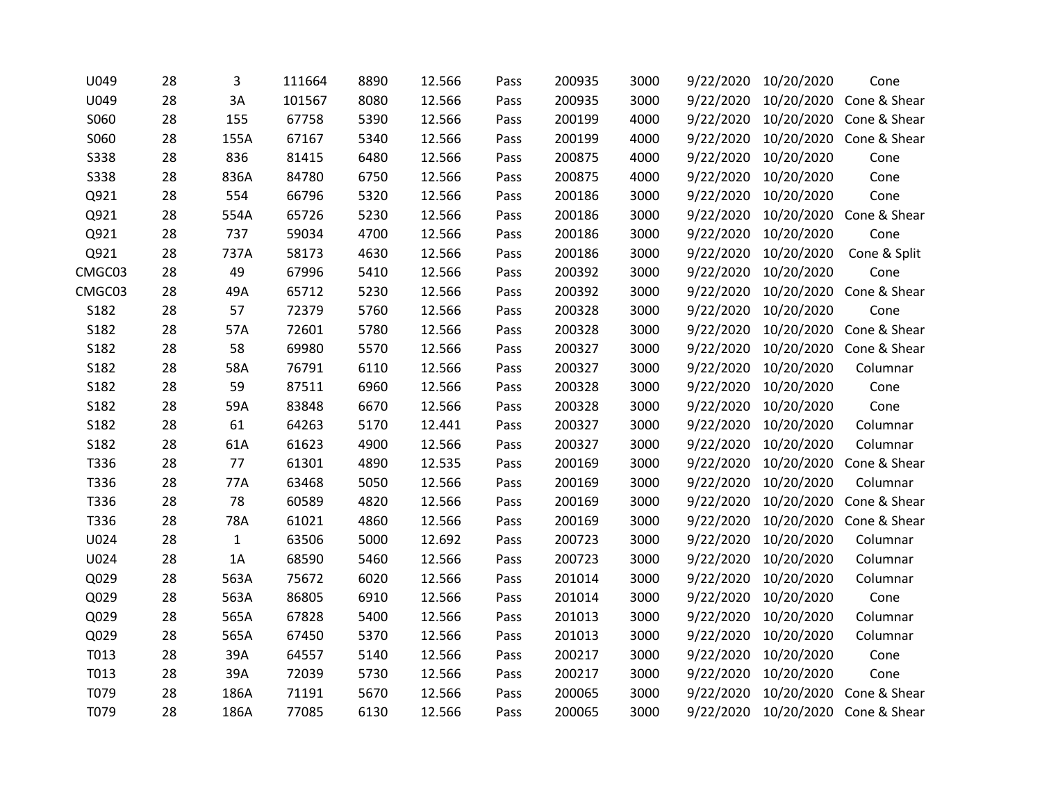| U049        | 28 | 3            | 111664 | 8890 | 12.566 | Pass | 200935 | 3000 | 9/22/2020 | 10/20/2020 | Cone                    |
|-------------|----|--------------|--------|------|--------|------|--------|------|-----------|------------|-------------------------|
| U049        | 28 | 3A           | 101567 | 8080 | 12.566 | Pass | 200935 | 3000 | 9/22/2020 | 10/20/2020 | Cone & Shear            |
| S060        | 28 | 155          | 67758  | 5390 | 12.566 | Pass | 200199 | 4000 | 9/22/2020 |            | 10/20/2020 Cone & Shear |
| S060        | 28 | 155A         | 67167  | 5340 | 12.566 | Pass | 200199 | 4000 | 9/22/2020 |            | 10/20/2020 Cone & Shear |
| <b>S338</b> | 28 | 836          | 81415  | 6480 | 12.566 | Pass | 200875 | 4000 | 9/22/2020 | 10/20/2020 | Cone                    |
| <b>S338</b> | 28 | 836A         | 84780  | 6750 | 12.566 | Pass | 200875 | 4000 | 9/22/2020 | 10/20/2020 | Cone                    |
| Q921        | 28 | 554          | 66796  | 5320 | 12.566 | Pass | 200186 | 3000 | 9/22/2020 | 10/20/2020 | Cone                    |
| Q921        | 28 | 554A         | 65726  | 5230 | 12.566 | Pass | 200186 | 3000 | 9/22/2020 |            | 10/20/2020 Cone & Shear |
| Q921        | 28 | 737          | 59034  | 4700 | 12.566 | Pass | 200186 | 3000 | 9/22/2020 | 10/20/2020 | Cone                    |
| Q921        | 28 | 737A         | 58173  | 4630 | 12.566 | Pass | 200186 | 3000 | 9/22/2020 | 10/20/2020 | Cone & Split            |
| CMGC03      | 28 | 49           | 67996  | 5410 | 12.566 | Pass | 200392 | 3000 | 9/22/2020 | 10/20/2020 | Cone                    |
| CMGC03      | 28 | 49A          | 65712  | 5230 | 12.566 | Pass | 200392 | 3000 | 9/22/2020 |            | 10/20/2020 Cone & Shear |
| S182        | 28 | 57           | 72379  | 5760 | 12.566 | Pass | 200328 | 3000 | 9/22/2020 | 10/20/2020 | Cone                    |
| S182        | 28 | 57A          | 72601  | 5780 | 12.566 | Pass | 200328 | 3000 | 9/22/2020 |            | 10/20/2020 Cone & Shear |
| S182        | 28 | 58           | 69980  | 5570 | 12.566 | Pass | 200327 | 3000 | 9/22/2020 |            | 10/20/2020 Cone & Shear |
| S182        | 28 | 58A          | 76791  | 6110 | 12.566 | Pass | 200327 | 3000 | 9/22/2020 | 10/20/2020 | Columnar                |
| S182        | 28 | 59           | 87511  | 6960 | 12.566 | Pass | 200328 | 3000 | 9/22/2020 | 10/20/2020 | Cone                    |
| S182        | 28 | 59A          | 83848  | 6670 | 12.566 | Pass | 200328 | 3000 | 9/22/2020 | 10/20/2020 | Cone                    |
| S182        | 28 | 61           | 64263  | 5170 | 12.441 | Pass | 200327 | 3000 | 9/22/2020 | 10/20/2020 | Columnar                |
| S182        | 28 | 61A          | 61623  | 4900 | 12.566 | Pass | 200327 | 3000 | 9/22/2020 | 10/20/2020 | Columnar                |
| T336        | 28 | 77           | 61301  | 4890 | 12.535 | Pass | 200169 | 3000 | 9/22/2020 | 10/20/2020 | Cone & Shear            |
| T336        | 28 | 77A          | 63468  | 5050 | 12.566 | Pass | 200169 | 3000 | 9/22/2020 | 10/20/2020 | Columnar                |
| T336        | 28 | 78           | 60589  | 4820 | 12.566 | Pass | 200169 | 3000 | 9/22/2020 | 10/20/2020 | Cone & Shear            |
| T336        | 28 | 78A          | 61021  | 4860 | 12.566 | Pass | 200169 | 3000 | 9/22/2020 | 10/20/2020 | Cone & Shear            |
| U024        | 28 | $\mathbf{1}$ | 63506  | 5000 | 12.692 | Pass | 200723 | 3000 | 9/22/2020 | 10/20/2020 | Columnar                |
| U024        | 28 | 1A           | 68590  | 5460 | 12.566 | Pass | 200723 | 3000 | 9/22/2020 | 10/20/2020 | Columnar                |
| Q029        | 28 | 563A         | 75672  | 6020 | 12.566 | Pass | 201014 | 3000 | 9/22/2020 | 10/20/2020 | Columnar                |
| Q029        | 28 | 563A         | 86805  | 6910 | 12.566 | Pass | 201014 | 3000 | 9/22/2020 | 10/20/2020 | Cone                    |
| Q029        | 28 | 565A         | 67828  | 5400 | 12.566 | Pass | 201013 | 3000 | 9/22/2020 | 10/20/2020 | Columnar                |
| Q029        | 28 | 565A         | 67450  | 5370 | 12.566 | Pass | 201013 | 3000 | 9/22/2020 | 10/20/2020 | Columnar                |
| T013        | 28 | 39A          | 64557  | 5140 | 12.566 | Pass | 200217 | 3000 | 9/22/2020 | 10/20/2020 | Cone                    |
| T013        | 28 | 39A          | 72039  | 5730 | 12.566 | Pass | 200217 | 3000 | 9/22/2020 | 10/20/2020 | Cone                    |
| T079        | 28 | 186A         | 71191  | 5670 | 12.566 | Pass | 200065 | 3000 | 9/22/2020 | 10/20/2020 | Cone & Shear            |
| T079        | 28 | 186A         | 77085  | 6130 | 12.566 | Pass | 200065 | 3000 | 9/22/2020 |            | 10/20/2020 Cone & Shear |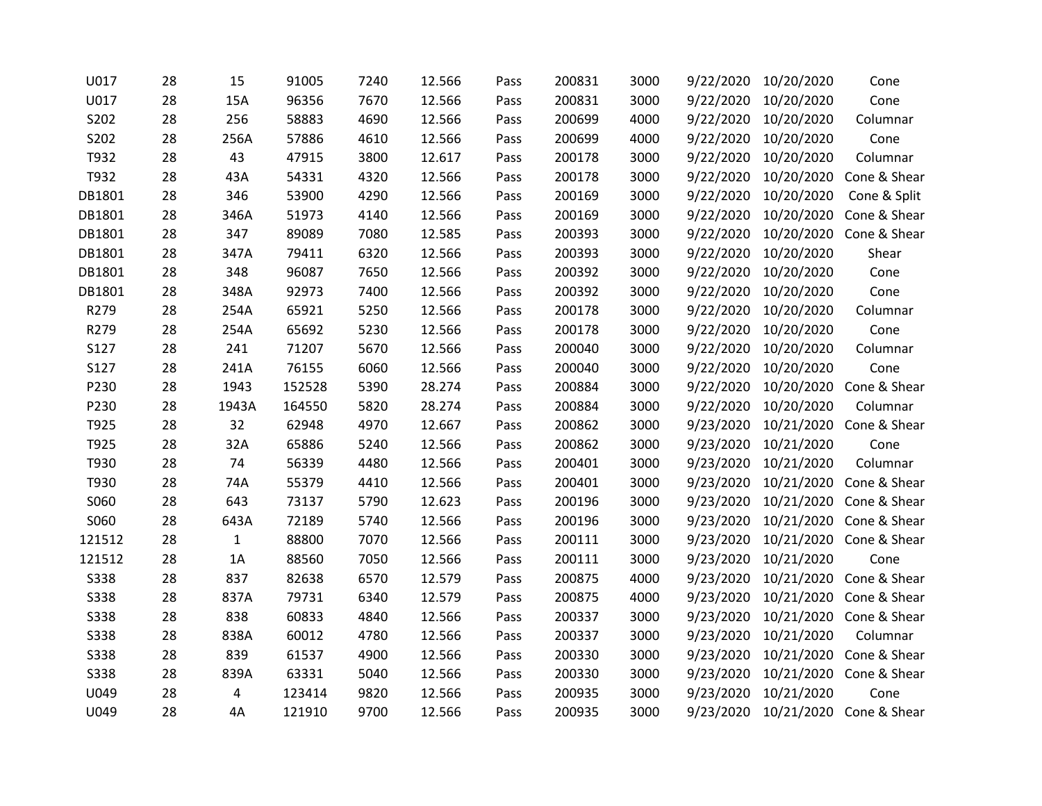| U017        | 28 | 15           | 91005  | 7240 | 12.566 | Pass | 200831 | 3000 | 9/22/2020 | 10/20/2020 | Cone                    |
|-------------|----|--------------|--------|------|--------|------|--------|------|-----------|------------|-------------------------|
| U017        | 28 | 15A          | 96356  | 7670 | 12.566 | Pass | 200831 | 3000 | 9/22/2020 | 10/20/2020 | Cone                    |
| S202        | 28 | 256          | 58883  | 4690 | 12.566 | Pass | 200699 | 4000 | 9/22/2020 | 10/20/2020 | Columnar                |
| S202        | 28 | 256A         | 57886  | 4610 | 12.566 | Pass | 200699 | 4000 | 9/22/2020 | 10/20/2020 | Cone                    |
| T932        | 28 | 43           | 47915  | 3800 | 12.617 | Pass | 200178 | 3000 | 9/22/2020 | 10/20/2020 | Columnar                |
| T932        | 28 | 43A          | 54331  | 4320 | 12.566 | Pass | 200178 | 3000 | 9/22/2020 | 10/20/2020 | Cone & Shear            |
| DB1801      | 28 | 346          | 53900  | 4290 | 12.566 | Pass | 200169 | 3000 | 9/22/2020 | 10/20/2020 | Cone & Split            |
| DB1801      | 28 | 346A         | 51973  | 4140 | 12.566 | Pass | 200169 | 3000 | 9/22/2020 | 10/20/2020 | Cone & Shear            |
| DB1801      | 28 | 347          | 89089  | 7080 | 12.585 | Pass | 200393 | 3000 | 9/22/2020 |            | 10/20/2020 Cone & Shear |
| DB1801      | 28 | 347A         | 79411  | 6320 | 12.566 | Pass | 200393 | 3000 | 9/22/2020 | 10/20/2020 | Shear                   |
| DB1801      | 28 | 348          | 96087  | 7650 | 12.566 | Pass | 200392 | 3000 | 9/22/2020 | 10/20/2020 | Cone                    |
| DB1801      | 28 | 348A         | 92973  | 7400 | 12.566 | Pass | 200392 | 3000 | 9/22/2020 | 10/20/2020 | Cone                    |
| R279        | 28 | 254A         | 65921  | 5250 | 12.566 | Pass | 200178 | 3000 | 9/22/2020 | 10/20/2020 | Columnar                |
| R279        | 28 | 254A         | 65692  | 5230 | 12.566 | Pass | 200178 | 3000 | 9/22/2020 | 10/20/2020 | Cone                    |
| S127        | 28 | 241          | 71207  | 5670 | 12.566 | Pass | 200040 | 3000 | 9/22/2020 | 10/20/2020 | Columnar                |
| S127        | 28 | 241A         | 76155  | 6060 | 12.566 | Pass | 200040 | 3000 | 9/22/2020 | 10/20/2020 | Cone                    |
| P230        | 28 | 1943         | 152528 | 5390 | 28.274 | Pass | 200884 | 3000 | 9/22/2020 | 10/20/2020 | Cone & Shear            |
| P230        | 28 | 1943A        | 164550 | 5820 | 28.274 | Pass | 200884 | 3000 | 9/22/2020 | 10/20/2020 | Columnar                |
| T925        | 28 | 32           | 62948  | 4970 | 12.667 | Pass | 200862 | 3000 | 9/23/2020 |            | 10/21/2020 Cone & Shear |
| T925        | 28 | 32A          | 65886  | 5240 | 12.566 | Pass | 200862 | 3000 | 9/23/2020 | 10/21/2020 | Cone                    |
| T930        | 28 | 74           | 56339  | 4480 | 12.566 | Pass | 200401 | 3000 | 9/23/2020 | 10/21/2020 | Columnar                |
| T930        | 28 | 74A          | 55379  | 4410 | 12.566 | Pass | 200401 | 3000 | 9/23/2020 |            | 10/21/2020 Cone & Shear |
| S060        | 28 | 643          | 73137  | 5790 | 12.623 | Pass | 200196 | 3000 | 9/23/2020 |            | 10/21/2020 Cone & Shear |
| S060        | 28 | 643A         | 72189  | 5740 | 12.566 | Pass | 200196 | 3000 | 9/23/2020 |            | 10/21/2020 Cone & Shear |
| 121512      | 28 | $\mathbf{1}$ | 88800  | 7070 | 12.566 | Pass | 200111 | 3000 | 9/23/2020 |            | 10/21/2020 Cone & Shear |
| 121512      | 28 | 1A           | 88560  | 7050 | 12.566 | Pass | 200111 | 3000 | 9/23/2020 | 10/21/2020 | Cone                    |
| <b>S338</b> | 28 | 837          | 82638  | 6570 | 12.579 | Pass | 200875 | 4000 | 9/23/2020 |            | 10/21/2020 Cone & Shear |
| <b>S338</b> | 28 | 837A         | 79731  | 6340 | 12.579 | Pass | 200875 | 4000 | 9/23/2020 |            | 10/21/2020 Cone & Shear |
| <b>S338</b> | 28 | 838          | 60833  | 4840 | 12.566 | Pass | 200337 | 3000 | 9/23/2020 |            | 10/21/2020 Cone & Shear |
| <b>S338</b> | 28 | 838A         | 60012  | 4780 | 12.566 | Pass | 200337 | 3000 | 9/23/2020 | 10/21/2020 | Columnar                |
| <b>S338</b> | 28 | 839          | 61537  | 4900 | 12.566 | Pass | 200330 | 3000 | 9/23/2020 | 10/21/2020 | Cone & Shear            |
| <b>S338</b> | 28 | 839A         | 63331  | 5040 | 12.566 | Pass | 200330 | 3000 | 9/23/2020 |            | 10/21/2020 Cone & Shear |
| U049        | 28 | 4            | 123414 | 9820 | 12.566 | Pass | 200935 | 3000 | 9/23/2020 | 10/21/2020 | Cone                    |
| U049        | 28 | 4A           | 121910 | 9700 | 12.566 | Pass | 200935 | 3000 | 9/23/2020 |            | 10/21/2020 Cone & Shear |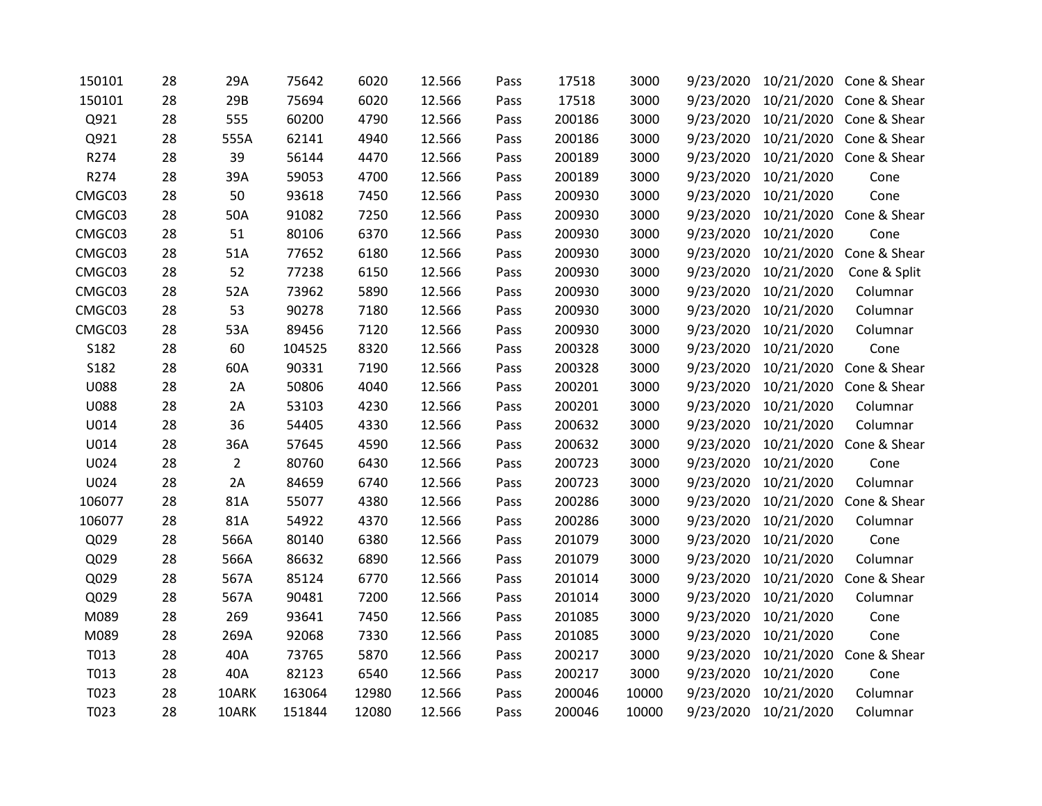| 150101      | 28 | 29A            | 75642  | 6020  | 12.566 | Pass | 17518  | 3000  | 9/23/2020 |            | 10/21/2020 Cone & Shear |
|-------------|----|----------------|--------|-------|--------|------|--------|-------|-----------|------------|-------------------------|
| 150101      | 28 | 29B            | 75694  | 6020  | 12.566 | Pass | 17518  | 3000  | 9/23/2020 |            | 10/21/2020 Cone & Shear |
| Q921        | 28 | 555            | 60200  | 4790  | 12.566 | Pass | 200186 | 3000  | 9/23/2020 |            | 10/21/2020 Cone & Shear |
| Q921        | 28 | 555A           | 62141  | 4940  | 12.566 | Pass | 200186 | 3000  | 9/23/2020 |            | 10/21/2020 Cone & Shear |
| R274        | 28 | 39             | 56144  | 4470  | 12.566 | Pass | 200189 | 3000  | 9/23/2020 |            | 10/21/2020 Cone & Shear |
| R274        | 28 | 39A            | 59053  | 4700  | 12.566 | Pass | 200189 | 3000  | 9/23/2020 | 10/21/2020 | Cone                    |
| CMGC03      | 28 | 50             | 93618  | 7450  | 12.566 | Pass | 200930 | 3000  | 9/23/2020 | 10/21/2020 | Cone                    |
| CMGC03      | 28 | 50A            | 91082  | 7250  | 12.566 | Pass | 200930 | 3000  | 9/23/2020 |            | 10/21/2020 Cone & Shear |
| CMGC03      | 28 | 51             | 80106  | 6370  | 12.566 | Pass | 200930 | 3000  | 9/23/2020 | 10/21/2020 | Cone                    |
| CMGC03      | 28 | 51A            | 77652  | 6180  | 12.566 | Pass | 200930 | 3000  | 9/23/2020 | 10/21/2020 | Cone & Shear            |
| CMGC03      | 28 | 52             | 77238  | 6150  | 12.566 | Pass | 200930 | 3000  | 9/23/2020 | 10/21/2020 | Cone & Split            |
| CMGC03      | 28 | 52A            | 73962  | 5890  | 12.566 | Pass | 200930 | 3000  | 9/23/2020 | 10/21/2020 | Columnar                |
| CMGC03      | 28 | 53             | 90278  | 7180  | 12.566 | Pass | 200930 | 3000  | 9/23/2020 | 10/21/2020 | Columnar                |
| CMGC03      | 28 | 53A            | 89456  | 7120  | 12.566 | Pass | 200930 | 3000  | 9/23/2020 | 10/21/2020 | Columnar                |
| S182        | 28 | 60             | 104525 | 8320  | 12.566 | Pass | 200328 | 3000  | 9/23/2020 | 10/21/2020 | Cone                    |
| S182        | 28 | 60A            | 90331  | 7190  | 12.566 | Pass | 200328 | 3000  | 9/23/2020 | 10/21/2020 | Cone & Shear            |
| <b>U088</b> | 28 | 2A             | 50806  | 4040  | 12.566 | Pass | 200201 | 3000  | 9/23/2020 | 10/21/2020 | Cone & Shear            |
| <b>U088</b> | 28 | 2A             | 53103  | 4230  | 12.566 | Pass | 200201 | 3000  | 9/23/2020 | 10/21/2020 | Columnar                |
| U014        | 28 | 36             | 54405  | 4330  | 12.566 | Pass | 200632 | 3000  | 9/23/2020 | 10/21/2020 | Columnar                |
| U014        | 28 | 36A            | 57645  | 4590  | 12.566 | Pass | 200632 | 3000  | 9/23/2020 |            | 10/21/2020 Cone & Shear |
| U024        | 28 | $\overline{2}$ | 80760  | 6430  | 12.566 | Pass | 200723 | 3000  | 9/23/2020 | 10/21/2020 | Cone                    |
| U024        | 28 | 2A             | 84659  | 6740  | 12.566 | Pass | 200723 | 3000  | 9/23/2020 | 10/21/2020 | Columnar                |
| 106077      | 28 | 81A            | 55077  | 4380  | 12.566 | Pass | 200286 | 3000  | 9/23/2020 | 10/21/2020 | Cone & Shear            |
| 106077      | 28 | 81A            | 54922  | 4370  | 12.566 | Pass | 200286 | 3000  | 9/23/2020 | 10/21/2020 | Columnar                |
| Q029        | 28 | 566A           | 80140  | 6380  | 12.566 | Pass | 201079 | 3000  | 9/23/2020 | 10/21/2020 | Cone                    |
| Q029        | 28 | 566A           | 86632  | 6890  | 12.566 | Pass | 201079 | 3000  | 9/23/2020 | 10/21/2020 | Columnar                |
| Q029        | 28 | 567A           | 85124  | 6770  | 12.566 | Pass | 201014 | 3000  | 9/23/2020 | 10/21/2020 | Cone & Shear            |
| Q029        | 28 | 567A           | 90481  | 7200  | 12.566 | Pass | 201014 | 3000  | 9/23/2020 | 10/21/2020 | Columnar                |
| M089        | 28 | 269            | 93641  | 7450  | 12.566 | Pass | 201085 | 3000  | 9/23/2020 | 10/21/2020 | Cone                    |
| M089        | 28 | 269A           | 92068  | 7330  | 12.566 | Pass | 201085 | 3000  | 9/23/2020 | 10/21/2020 | Cone                    |
| T013        | 28 | 40A            | 73765  | 5870  | 12.566 | Pass | 200217 | 3000  | 9/23/2020 |            | 10/21/2020 Cone & Shear |
| T013        | 28 | 40A            | 82123  | 6540  | 12.566 | Pass | 200217 | 3000  | 9/23/2020 | 10/21/2020 | Cone                    |
| T023        | 28 | 10ARK          | 163064 | 12980 | 12.566 | Pass | 200046 | 10000 | 9/23/2020 | 10/21/2020 | Columnar                |
| T023        | 28 | 10ARK          | 151844 | 12080 | 12.566 | Pass | 200046 | 10000 | 9/23/2020 | 10/21/2020 | Columnar                |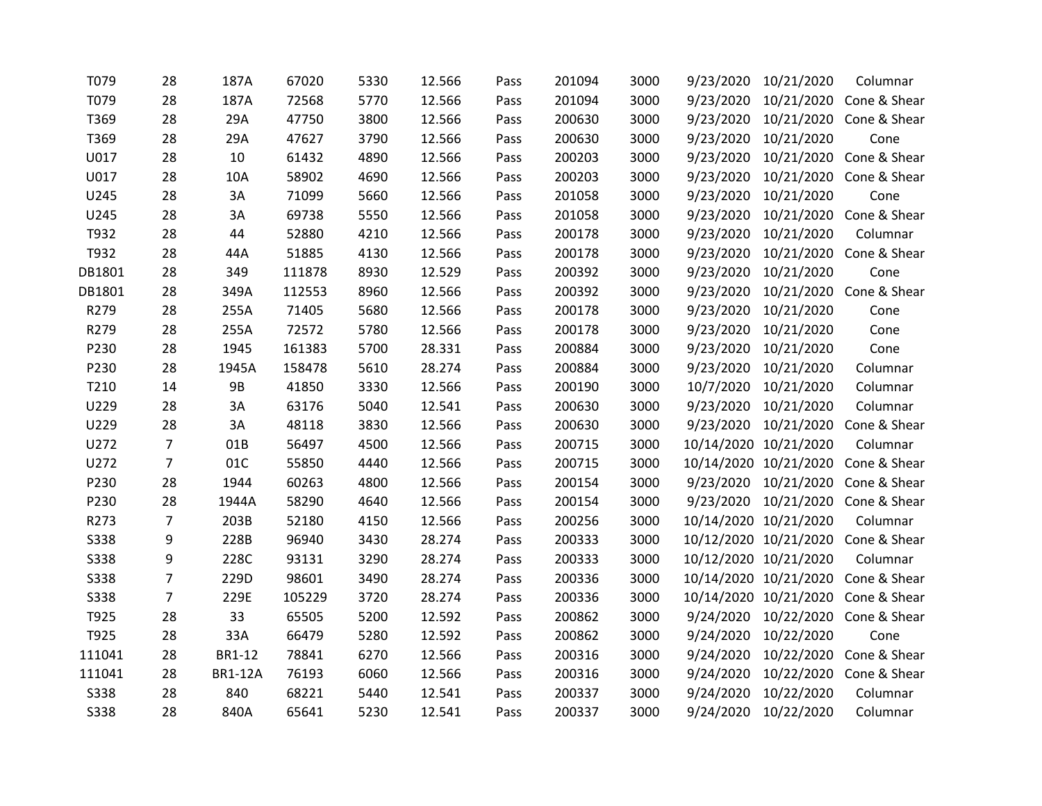| T079        | 28             | 187A           | 67020  | 5330 | 12.566 | Pass | 201094 | 3000 | 9/23/2020 | 10/21/2020            | Columnar                           |
|-------------|----------------|----------------|--------|------|--------|------|--------|------|-----------|-----------------------|------------------------------------|
| T079        | 28             | 187A           | 72568  | 5770 | 12.566 | Pass | 201094 | 3000 | 9/23/2020 |                       | 10/21/2020 Cone & Shear            |
| T369        | 28             | 29A            | 47750  | 3800 | 12.566 | Pass | 200630 | 3000 | 9/23/2020 |                       | 10/21/2020 Cone & Shear            |
| T369        | 28             | 29A            | 47627  | 3790 | 12.566 | Pass | 200630 | 3000 | 9/23/2020 | 10/21/2020            | Cone                               |
| U017        | 28             | 10             | 61432  | 4890 | 12.566 | Pass | 200203 | 3000 | 9/23/2020 |                       | 10/21/2020 Cone & Shear            |
| U017        | 28             | 10A            | 58902  | 4690 | 12.566 | Pass | 200203 | 3000 | 9/23/2020 |                       | 10/21/2020 Cone & Shear            |
| U245        | 28             | 3A             | 71099  | 5660 | 12.566 | Pass | 201058 | 3000 | 9/23/2020 | 10/21/2020            | Cone                               |
| U245        | 28             | 3A             | 69738  | 5550 | 12.566 | Pass | 201058 | 3000 | 9/23/2020 |                       | 10/21/2020 Cone & Shear            |
| T932        | 28             | 44             | 52880  | 4210 | 12.566 | Pass | 200178 | 3000 | 9/23/2020 | 10/21/2020            | Columnar                           |
| T932        | 28             | 44A            | 51885  | 4130 | 12.566 | Pass | 200178 | 3000 | 9/23/2020 |                       | 10/21/2020 Cone & Shear            |
| DB1801      | 28             | 349            | 111878 | 8930 | 12.529 | Pass | 200392 | 3000 | 9/23/2020 | 10/21/2020            | Cone                               |
| DB1801      | 28             | 349A           | 112553 | 8960 | 12.566 | Pass | 200392 | 3000 | 9/23/2020 |                       | 10/21/2020 Cone & Shear            |
| R279        | 28             | 255A           | 71405  | 5680 | 12.566 | Pass | 200178 | 3000 | 9/23/2020 | 10/21/2020            | Cone                               |
| R279        | 28             | 255A           | 72572  | 5780 | 12.566 | Pass | 200178 | 3000 | 9/23/2020 | 10/21/2020            | Cone                               |
| P230        | 28             | 1945           | 161383 | 5700 | 28.331 | Pass | 200884 | 3000 | 9/23/2020 | 10/21/2020            | Cone                               |
| P230        | 28             | 1945A          | 158478 | 5610 | 28.274 | Pass | 200884 | 3000 | 9/23/2020 | 10/21/2020            | Columnar                           |
| T210        | 14             | <b>9B</b>      | 41850  | 3330 | 12.566 | Pass | 200190 | 3000 | 10/7/2020 | 10/21/2020            | Columnar                           |
| U229        | 28             | 3A             | 63176  | 5040 | 12.541 | Pass | 200630 | 3000 | 9/23/2020 | 10/21/2020            | Columnar                           |
| U229        | 28             | 3A             | 48118  | 3830 | 12.566 | Pass | 200630 | 3000 | 9/23/2020 | 10/21/2020            | Cone & Shear                       |
| U272        | 7              | 01B            | 56497  | 4500 | 12.566 | Pass | 200715 | 3000 |           | 10/14/2020 10/21/2020 | Columnar                           |
| U272        | $\overline{7}$ | 01C            | 55850  | 4440 | 12.566 | Pass | 200715 | 3000 |           | 10/14/2020 10/21/2020 | Cone & Shear                       |
| P230        | 28             | 1944           | 60263  | 4800 | 12.566 | Pass | 200154 | 3000 |           |                       | 9/23/2020 10/21/2020 Cone & Shear  |
| P230        | 28             | 1944A          | 58290  | 4640 | 12.566 | Pass | 200154 | 3000 |           |                       | 9/23/2020 10/21/2020 Cone & Shear  |
| R273        | $\overline{7}$ | 203B           | 52180  | 4150 | 12.566 | Pass | 200256 | 3000 |           | 10/14/2020 10/21/2020 | Columnar                           |
| S338        | 9              | 228B           | 96940  | 3430 | 28.274 | Pass | 200333 | 3000 |           |                       | 10/12/2020 10/21/2020 Cone & Shear |
| S338        | 9              | 228C           | 93131  | 3290 | 28.274 | Pass | 200333 | 3000 |           | 10/12/2020 10/21/2020 | Columnar                           |
| S338        | $\overline{7}$ | 229D           | 98601  | 3490 | 28.274 | Pass | 200336 | 3000 |           | 10/14/2020 10/21/2020 | Cone & Shear                       |
| S338        | $\overline{7}$ | 229E           | 105229 | 3720 | 28.274 | Pass | 200336 | 3000 |           |                       | 10/14/2020 10/21/2020 Cone & Shear |
| T925        | 28             | 33             | 65505  | 5200 | 12.592 | Pass | 200862 | 3000 |           |                       | 9/24/2020 10/22/2020 Cone & Shear  |
| T925        | 28             | 33A            | 66479  | 5280 | 12.592 | Pass | 200862 | 3000 | 9/24/2020 | 10/22/2020            | Cone                               |
| 111041      | 28             | <b>BR1-12</b>  | 78841  | 6270 | 12.566 | Pass | 200316 | 3000 | 9/24/2020 | 10/22/2020            | Cone & Shear                       |
| 111041      | 28             | <b>BR1-12A</b> | 76193  | 6060 | 12.566 | Pass | 200316 | 3000 | 9/24/2020 |                       | 10/22/2020 Cone & Shear            |
| S338        | 28             | 840            | 68221  | 5440 | 12.541 | Pass | 200337 | 3000 | 9/24/2020 | 10/22/2020            | Columnar                           |
| <b>S338</b> | 28             | 840A           | 65641  | 5230 | 12.541 | Pass | 200337 | 3000 | 9/24/2020 | 10/22/2020            | Columnar                           |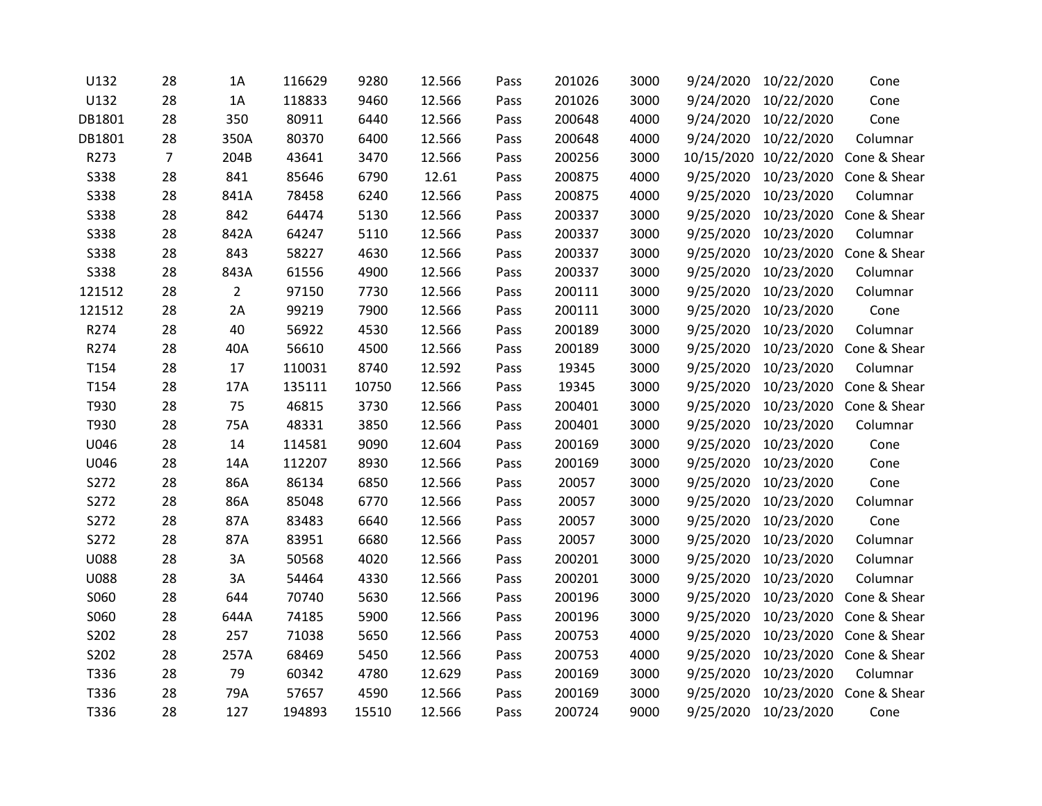| U132        | 28             | 1A             | 116629 | 9280  | 12.566 | Pass | 201026 | 3000 | 9/24/2020 | 10/22/2020            | Cone                    |
|-------------|----------------|----------------|--------|-------|--------|------|--------|------|-----------|-----------------------|-------------------------|
| U132        | 28             | 1A             | 118833 | 9460  | 12.566 | Pass | 201026 | 3000 | 9/24/2020 | 10/22/2020            | Cone                    |
| DB1801      | 28             | 350            | 80911  | 6440  | 12.566 | Pass | 200648 | 4000 | 9/24/2020 | 10/22/2020            | Cone                    |
| DB1801      | 28             | 350A           | 80370  | 6400  | 12.566 | Pass | 200648 | 4000 |           | 9/24/2020 10/22/2020  | Columnar                |
| R273        | $\overline{7}$ | 204B           | 43641  | 3470  | 12.566 | Pass | 200256 | 3000 |           | 10/15/2020 10/22/2020 | Cone & Shear            |
| <b>S338</b> | 28             | 841            | 85646  | 6790  | 12.61  | Pass | 200875 | 4000 | 9/25/2020 | 10/23/2020            | Cone & Shear            |
| <b>S338</b> | 28             | 841A           | 78458  | 6240  | 12.566 | Pass | 200875 | 4000 | 9/25/2020 | 10/23/2020            | Columnar                |
| <b>S338</b> | 28             | 842            | 64474  | 5130  | 12.566 | Pass | 200337 | 3000 | 9/25/2020 | 10/23/2020            | Cone & Shear            |
| <b>S338</b> | 28             | 842A           | 64247  | 5110  | 12.566 | Pass | 200337 | 3000 | 9/25/2020 | 10/23/2020            | Columnar                |
| <b>S338</b> | 28             | 843            | 58227  | 4630  | 12.566 | Pass | 200337 | 3000 | 9/25/2020 | 10/23/2020            | Cone & Shear            |
| <b>S338</b> | 28             | 843A           | 61556  | 4900  | 12.566 | Pass | 200337 | 3000 | 9/25/2020 | 10/23/2020            | Columnar                |
| 121512      | 28             | $\overline{2}$ | 97150  | 7730  | 12.566 | Pass | 200111 | 3000 | 9/25/2020 | 10/23/2020            | Columnar                |
| 121512      | 28             | 2A             | 99219  | 7900  | 12.566 | Pass | 200111 | 3000 | 9/25/2020 | 10/23/2020            | Cone                    |
| R274        | 28             | 40             | 56922  | 4530  | 12.566 | Pass | 200189 | 3000 | 9/25/2020 | 10/23/2020            | Columnar                |
| R274        | 28             | 40A            | 56610  | 4500  | 12.566 | Pass | 200189 | 3000 | 9/25/2020 |                       | 10/23/2020 Cone & Shear |
| T154        | 28             | 17             | 110031 | 8740  | 12.592 | Pass | 19345  | 3000 | 9/25/2020 | 10/23/2020            | Columnar                |
| T154        | 28             | 17A            | 135111 | 10750 | 12.566 | Pass | 19345  | 3000 | 9/25/2020 | 10/23/2020            | Cone & Shear            |
| T930        | 28             | 75             | 46815  | 3730  | 12.566 | Pass | 200401 | 3000 | 9/25/2020 | 10/23/2020            | Cone & Shear            |
| T930        | 28             | 75A            | 48331  | 3850  | 12.566 | Pass | 200401 | 3000 | 9/25/2020 | 10/23/2020            | Columnar                |
| U046        | 28             | $14\,$         | 114581 | 9090  | 12.604 | Pass | 200169 | 3000 | 9/25/2020 | 10/23/2020            | Cone                    |
| U046        | 28             | 14A            | 112207 | 8930  | 12.566 | Pass | 200169 | 3000 | 9/25/2020 | 10/23/2020            | Cone                    |
| S272        | 28             | 86A            | 86134  | 6850  | 12.566 | Pass | 20057  | 3000 | 9/25/2020 | 10/23/2020            | Cone                    |
| S272        | 28             | 86A            | 85048  | 6770  | 12.566 | Pass | 20057  | 3000 | 9/25/2020 | 10/23/2020            | Columnar                |
| S272        | 28             | 87A            | 83483  | 6640  | 12.566 | Pass | 20057  | 3000 | 9/25/2020 | 10/23/2020            | Cone                    |
| S272        | 28             | 87A            | 83951  | 6680  | 12.566 | Pass | 20057  | 3000 | 9/25/2020 | 10/23/2020            | Columnar                |
| <b>U088</b> | 28             | 3A             | 50568  | 4020  | 12.566 | Pass | 200201 | 3000 | 9/25/2020 | 10/23/2020            | Columnar                |
| <b>U088</b> | 28             | 3A             | 54464  | 4330  | 12.566 | Pass | 200201 | 3000 | 9/25/2020 | 10/23/2020            | Columnar                |
| S060        | 28             | 644            | 70740  | 5630  | 12.566 | Pass | 200196 | 3000 | 9/25/2020 | 10/23/2020            | Cone & Shear            |
| S060        | 28             | 644A           | 74185  | 5900  | 12.566 | Pass | 200196 | 3000 | 9/25/2020 | 10/23/2020            | Cone & Shear            |
| S202        | 28             | 257            | 71038  | 5650  | 12.566 | Pass | 200753 | 4000 | 9/25/2020 | 10/23/2020            | Cone & Shear            |
| S202        | 28             | 257A           | 68469  | 5450  | 12.566 | Pass | 200753 | 4000 | 9/25/2020 | 10/23/2020            | Cone & Shear            |
| T336        | 28             | 79             | 60342  | 4780  | 12.629 | Pass | 200169 | 3000 | 9/25/2020 | 10/23/2020            | Columnar                |
| T336        | 28             | 79A            | 57657  | 4590  | 12.566 | Pass | 200169 | 3000 | 9/25/2020 |                       | 10/23/2020 Cone & Shear |
| T336        | 28             | 127            | 194893 | 15510 | 12.566 | Pass | 200724 | 9000 | 9/25/2020 | 10/23/2020            | Cone                    |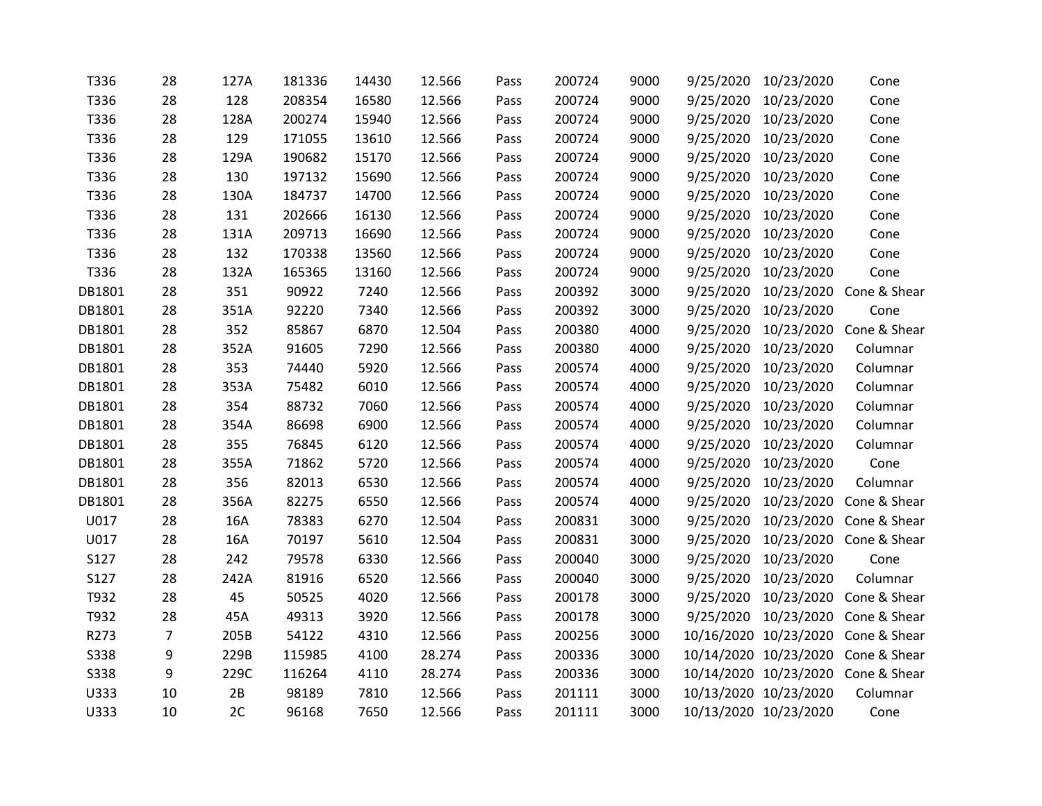| T336   | 28             | 127A | 181336 | 14430 | 12.566 | Pass | 200724 | 9000 | 9/25/2020 | 10/23/2020            | Cone                               |
|--------|----------------|------|--------|-------|--------|------|--------|------|-----------|-----------------------|------------------------------------|
| T336   | 28             | 128  | 208354 | 16580 | 12.566 | Pass | 200724 | 9000 | 9/25/2020 | 10/23/2020            | Cone                               |
| T336   | 28             | 128A | 200274 | 15940 | 12.566 | Pass | 200724 | 9000 | 9/25/2020 | 10/23/2020            | Cone                               |
| T336   | 28             | 129  | 171055 | 13610 | 12.566 | Pass | 200724 | 9000 | 9/25/2020 | 10/23/2020            | Cone                               |
| T336   | 28             | 129A | 190682 | 15170 | 12.566 | Pass | 200724 | 9000 | 9/25/2020 | 10/23/2020            | Cone                               |
| T336   | 28             | 130  | 197132 | 15690 | 12.566 | Pass | 200724 | 9000 | 9/25/2020 | 10/23/2020            | Cone                               |
| T336   | 28             | 130A | 184737 | 14700 | 12.566 | Pass | 200724 | 9000 | 9/25/2020 | 10/23/2020            | Cone                               |
| T336   | 28             | 131  | 202666 | 16130 | 12.566 | Pass | 200724 | 9000 | 9/25/2020 | 10/23/2020            | Cone                               |
| T336   | 28             | 131A | 209713 | 16690 | 12.566 | Pass | 200724 | 9000 | 9/25/2020 | 10/23/2020            | Cone                               |
| T336   | 28             | 132  | 170338 | 13560 | 12.566 | Pass | 200724 | 9000 | 9/25/2020 | 10/23/2020            | Cone                               |
| T336   | 28             | 132A | 165365 | 13160 | 12.566 | Pass | 200724 | 9000 | 9/25/2020 | 10/23/2020            | Cone                               |
| DB1801 | 28             | 351  | 90922  | 7240  | 12.566 | Pass | 200392 | 3000 | 9/25/2020 |                       | 10/23/2020 Cone & Shear            |
| DB1801 | 28             | 351A | 92220  | 7340  | 12.566 | Pass | 200392 | 3000 | 9/25/2020 | 10/23/2020            | Cone                               |
| DB1801 | 28             | 352  | 85867  | 6870  | 12.504 | Pass | 200380 | 4000 | 9/25/2020 |                       | 10/23/2020 Cone & Shear            |
| DB1801 | 28             | 352A | 91605  | 7290  | 12.566 | Pass | 200380 | 4000 | 9/25/2020 | 10/23/2020            | Columnar                           |
| DB1801 | 28             | 353  | 74440  | 5920  | 12.566 | Pass | 200574 | 4000 | 9/25/2020 | 10/23/2020            | Columnar                           |
| DB1801 | 28             | 353A | 75482  | 6010  | 12.566 | Pass | 200574 | 4000 | 9/25/2020 | 10/23/2020            | Columnar                           |
| DB1801 | 28             | 354  | 88732  | 7060  | 12.566 | Pass | 200574 | 4000 | 9/25/2020 | 10/23/2020            | Columnar                           |
| DB1801 | 28             | 354A | 86698  | 6900  | 12.566 | Pass | 200574 | 4000 | 9/25/2020 | 10/23/2020            | Columnar                           |
| DB1801 | 28             | 355  | 76845  | 6120  | 12.566 | Pass | 200574 | 4000 | 9/25/2020 | 10/23/2020            | Columnar                           |
| DB1801 | 28             | 355A | 71862  | 5720  | 12.566 | Pass | 200574 | 4000 | 9/25/2020 | 10/23/2020            | Cone                               |
| DB1801 | 28             | 356  | 82013  | 6530  | 12.566 | Pass | 200574 | 4000 | 9/25/2020 | 10/23/2020            | Columnar                           |
| DB1801 | 28             | 356A | 82275  | 6550  | 12.566 | Pass | 200574 | 4000 | 9/25/2020 |                       | 10/23/2020 Cone & Shear            |
| U017   | 28             | 16A  | 78383  | 6270  | 12.504 | Pass | 200831 | 3000 | 9/25/2020 |                       | 10/23/2020 Cone & Shear            |
| U017   | 28             | 16A  | 70197  | 5610  | 12.504 | Pass | 200831 | 3000 | 9/25/2020 |                       | 10/23/2020 Cone & Shear            |
| S127   | 28             | 242  | 79578  | 6330  | 12.566 | Pass | 200040 | 3000 | 9/25/2020 | 10/23/2020            | Cone                               |
| S127   | 28             | 242A | 81916  | 6520  | 12.566 | Pass | 200040 | 3000 | 9/25/2020 | 10/23/2020            | Columnar                           |
| T932   | 28             | 45   | 50525  | 4020  | 12.566 | Pass | 200178 | 3000 | 9/25/2020 | 10/23/2020            | Cone & Shear                       |
| T932   | 28             | 45A  | 49313  | 3920  | 12.566 | Pass | 200178 | 3000 | 9/25/2020 |                       | 10/23/2020 Cone & Shear            |
| R273   | $\overline{7}$ | 205B | 54122  | 4310  | 12.566 | Pass | 200256 | 3000 |           |                       | 10/16/2020 10/23/2020 Cone & Shear |
| S338   | 9              | 229B | 115985 | 4100  | 28.274 | Pass | 200336 | 3000 |           |                       | 10/14/2020 10/23/2020 Cone & Shear |
| S338   | 9              | 229C | 116264 | 4110  | 28.274 | Pass | 200336 | 3000 |           |                       | 10/14/2020 10/23/2020 Cone & Shear |
| U333   | 10             | 2B   | 98189  | 7810  | 12.566 | Pass | 201111 | 3000 |           | 10/13/2020 10/23/2020 | Columnar                           |
| U333   | 10             | 2C   | 96168  | 7650  | 12.566 | Pass | 201111 | 3000 |           | 10/13/2020 10/23/2020 | Cone                               |